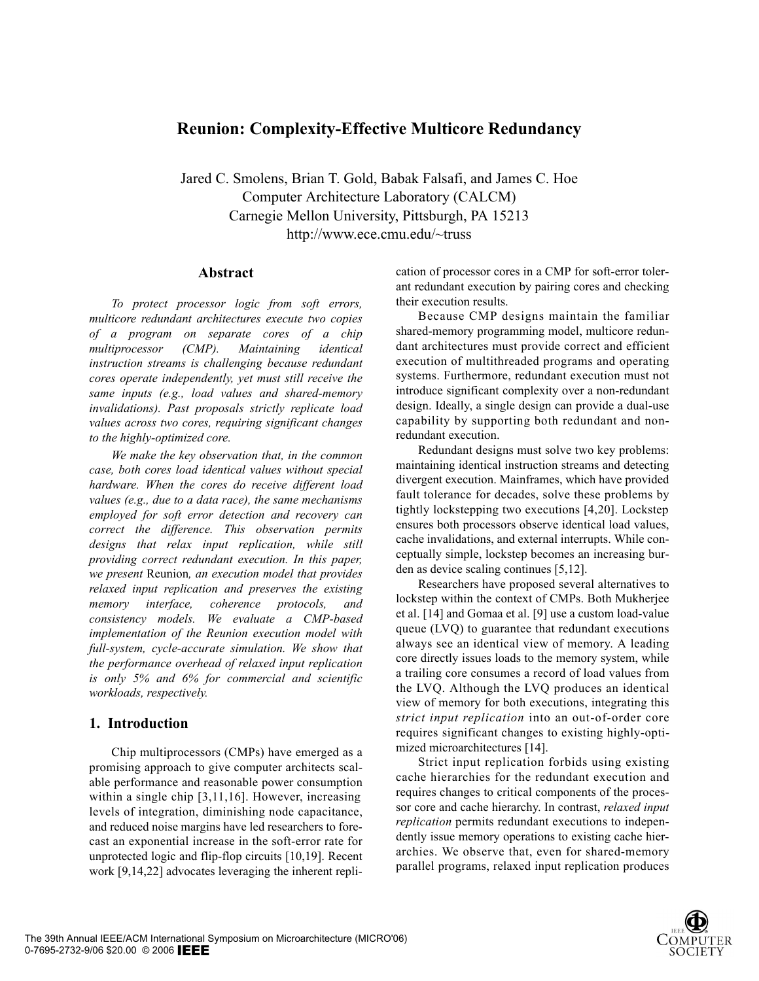# **Reunion: Complexity-Effective Multicore Redundancy**

Jared C. Smolens, Brian T. Gold, Babak Falsafi, and James C. Hoe Computer Architecture Laboratory (CALCM) Carnegie Mellon University, Pittsburgh, PA 15213 http://www.ece.cmu.edu/~truss

# **Abstract**

*To protect processor logic from soft errors, multicore redundant architectures execute two copies of a program on separate cores of a chip multiprocessor (CMP). Maintaining identical instruction streams is challenging because redundant cores operate independently, yet must still receive the same inputs (e.g., load values and shared-memory invalidations). Past proposals strictly replicate load values across two cores, requiring significant changes to the highly-optimized core.* 

*We make the key observation that, in the common case, both cores load identical values without special hardware. When the cores do receive different load values (e.g., due to a data race), the same mechanisms employed for soft error detection and recovery can correct the difference. This observation permits designs that relax input replication, while still providing correct redundant execution. In this paper, we present* Reunion*, an execution model that provides relaxed input replication and preserves the existing memory interface, coherence protocols, and consistency models. We evaluate a CMP-based implementation of the Reunion execution model with full-system, cycle-accurate simulation. We show that the performance overhead of relaxed input replication is only 5% and 6% for commercial and scientific workloads, respectively.* 

# **1. Introduction**

Chip multiprocessors (CMPs) have emerged as a promising approach to give computer architects scalable performance and reasonable power consumption within a single chip [3,11,16]. However, increasing levels of integration, diminishing node capacitance, and reduced noise margins have led researchers to forecast an exponential increase in the soft-error rate for unprotected logic and flip-flop circuits [10,19]. Recent work [9,14,22] advocates leveraging the inherent replication of processor cores in a CMP for soft-error tolerant redundant execution by pairing cores and checking their execution results.

Because CMP designs maintain the familiar shared-memory programming model, multicore redundant architectures must provide correct and efficient execution of multithreaded programs and operating systems. Furthermore, redundant execution must not introduce significant complexity over a non-redundant design. Ideally, a single design can provide a dual-use capability by supporting both redundant and nonredundant execution.

Redundant designs must solve two key problems: maintaining identical instruction streams and detecting divergent execution. Mainframes, which have provided fault tolerance for decades, solve these problems by tightly lockstepping two executions [4,20]. Lockstep ensures both processors observe identical load values, cache invalidations, and external interrupts. While conceptually simple, lockstep becomes an increasing burden as device scaling continues [5,12].

Researchers have proposed several alternatives to lockstep within the context of CMPs. Both Mukherjee et al. [14] and Gomaa et al. [9] use a custom load-value queue (LVQ) to guarantee that redundant executions always see an identical view of memory. A leading core directly issues loads to the memory system, while a trailing core consumes a record of load values from the LVQ. Although the LVQ produces an identical view of memory for both executions, integrating this *strict input replication* into an out-of-order core requires significant changes to existing highly-optimized microarchitectures [14].

Strict input replication forbids using existing cache hierarchies for the redundant execution and requires changes to critical components of the processor core and cache hierarchy. In contrast, *relaxed input replication* permits redundant executions to independently issue memory operations to existing cache hierarchies. We observe that, even for shared-memory parallel programs, relaxed input replication produces

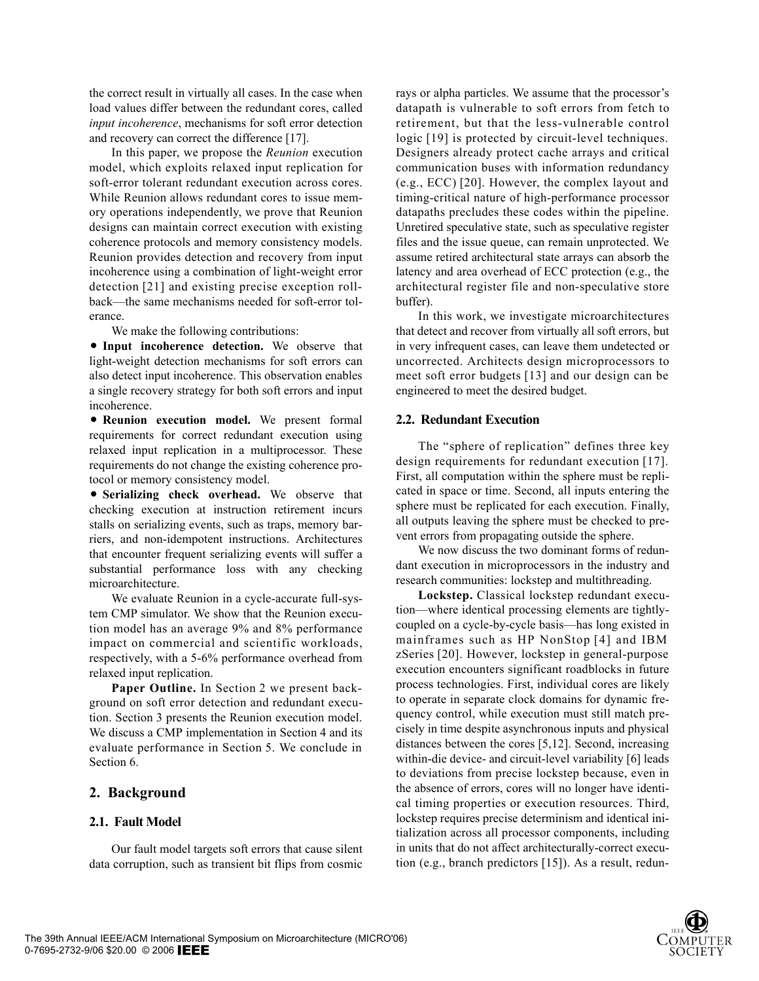the correct result in virtually all cases. In the case when load values differ between the redundant cores, called *input incoherence*, mechanisms for soft error detection and recovery can correct the difference [17].

In this paper, we propose the *Reunion* execution model, which exploits relaxed input replication for soft-error tolerant redundant execution across cores. While Reunion allows redundant cores to issue memory operations independently, we prove that Reunion designs can maintain correct execution with existing coherence protocols and memory consistency models. Reunion provides detection and recovery from input incoherence using a combination of light-weight error detection [21] and existing precise exception rollback—the same mechanisms needed for soft-error tolerance.

We make the following contributions:

**• Input incoherence detection.** We observe that light-weight detection mechanisms for soft errors can also detect input incoherence. This observation enables a single recovery strategy for both soft errors and input incoherence.

**• Reunion execution model.** We present formal requirements for correct redundant execution using relaxed input replication in a multiprocessor. These requirements do not change the existing coherence protocol or memory consistency model.

**• Serializing check overhead.** We observe that checking execution at instruction retirement incurs stalls on serializing events, such as traps, memory barriers, and non-idempotent instructions. Architectures that encounter frequent serializing events will suffer a substantial performance loss with any checking microarchitecture.

We evaluate Reunion in a cycle-accurate full-system CMP simulator. We show that the Reunion execution model has an average 9% and 8% performance impact on commercial and scientific workloads, respectively, with a 5-6% performance overhead from relaxed input replication.

**Paper Outline.** In Section 2 we present background on soft error detection and redundant execution. Section 3 presents the Reunion execution model. We discuss a CMP implementation in Section 4 and its evaluate performance in Section 5. We conclude in Section 6.

# **2. Background**

### **2.1. Fault Model**

Our fault model targets soft errors that cause silent data corruption, such as transient bit flips from cosmic

rays or alpha particles. We assume that the processor's datapath is vulnerable to soft errors from fetch to retirement, but that the less-vulnerable control logic [19] is protected by circuit-level techniques. Designers already protect cache arrays and critical communication buses with information redundancy (e.g., ECC) [20]. However, the complex layout and timing-critical nature of high-performance processor datapaths precludes these codes within the pipeline. Unretired speculative state, such as speculative register files and the issue queue, can remain unprotected. We assume retired architectural state arrays can absorb the latency and area overhead of ECC protection (e.g., the architectural register file and non-speculative store buffer).

In this work, we investigate microarchitectures that detect and recover from virtually all soft errors, but in very infrequent cases, can leave them undetected or uncorrected. Architects design microprocessors to meet soft error budgets [13] and our design can be engineered to meet the desired budget.

### **2.2. Redundant Execution**

The "sphere of replication" defines three key design requirements for redundant execution [17]. First, all computation within the sphere must be replicated in space or time. Second, all inputs entering the sphere must be replicated for each execution. Finally, all outputs leaving the sphere must be checked to prevent errors from propagating outside the sphere.

We now discuss the two dominant forms of redundant execution in microprocessors in the industry and research communities: lockstep and multithreading.

**Lockstep.** Classical lockstep redundant execution—where identical processing elements are tightlycoupled on a cycle-by-cycle basis—has long existed in mainframes such as HP NonStop [4] and IBM zSeries [20]. However, lockstep in general-purpose execution encounters significant roadblocks in future process technologies. First, individual cores are likely to operate in separate clock domains for dynamic frequency control, while execution must still match precisely in time despite asynchronous inputs and physical distances between the cores [5,12]. Second, increasing within-die device- and circuit-level variability [6] leads to deviations from precise lockstep because, even in the absence of errors, cores will no longer have identical timing properties or execution resources. Third, lockstep requires precise determinism and identical initialization across all processor components, including in units that do not affect architecturally-correct execution (e.g., branch predictors [15]). As a result, redun-

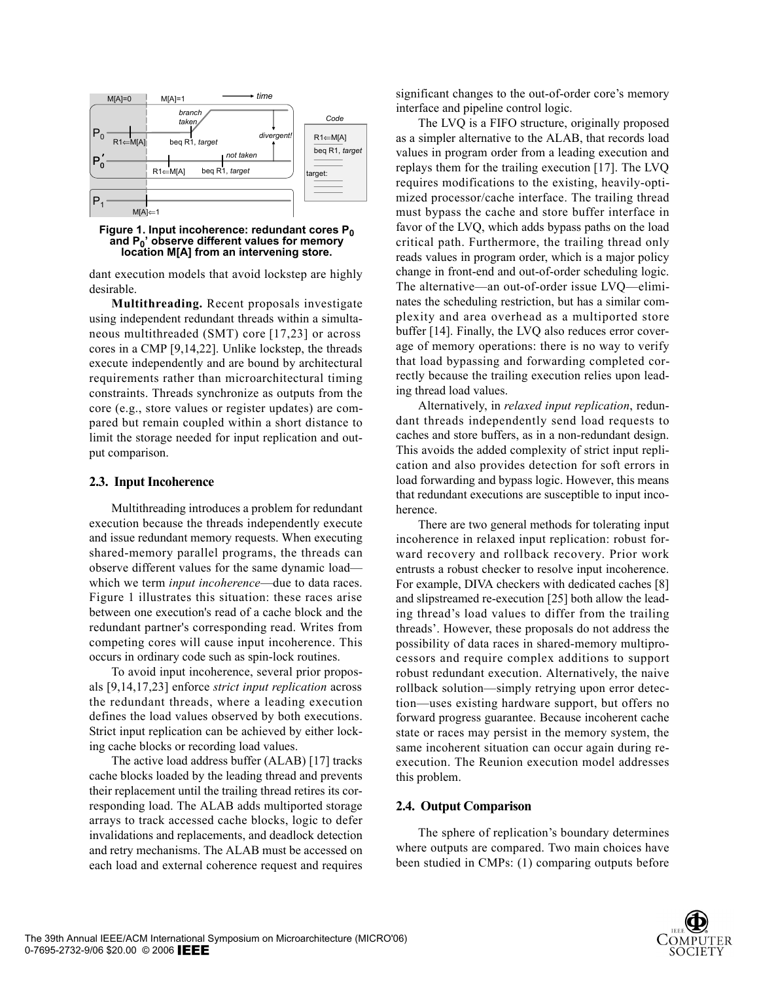

Figure 1. Input incoherence: redundant cores P<sub>0</sub> **and P0' observe different values for memory location M[A] from an intervening store.** 

dant execution models that avoid lockstep are highly desirable.

**Multithreading.** Recent proposals investigate using independent redundant threads within a simultaneous multithreaded (SMT) core [17,23] or across cores in a CMP [9,14,22]. Unlike lockstep, the threads execute independently and are bound by architectural requirements rather than microarchitectural timing constraints. Threads synchronize as outputs from the core (e.g., store values or register updates) are compared but remain coupled within a short distance to limit the storage needed for input replication and output comparison.

#### **2.3. Input Incoherence**

Multithreading introduces a problem for redundant execution because the threads independently execute and issue redundant memory requests. When executing shared-memory parallel programs, the threads can observe different values for the same dynamic load which we term *input incoherence*—due to data races. Figure 1 illustrates this situation: these races arise between one execution's read of a cache block and the redundant partner's corresponding read. Writes from competing cores will cause input incoherence. This occurs in ordinary code such as spin-lock routines.

To avoid input incoherence, several prior proposals [9,14,17,23] enforce *strict input replication* across the redundant threads, where a leading execution defines the load values observed by both executions. Strict input replication can be achieved by either locking cache blocks or recording load values.

The active load address buffer (ALAB) [17] tracks cache blocks loaded by the leading thread and prevents their replacement until the trailing thread retires its corresponding load. The ALAB adds multiported storage arrays to track accessed cache blocks, logic to defer invalidations and replacements, and deadlock detection and retry mechanisms. The ALAB must be accessed on each load and external coherence request and requires

significant changes to the out-of-order core's memory interface and pipeline control logic.

The LVQ is a FIFO structure, originally proposed as a simpler alternative to the ALAB, that records load values in program order from a leading execution and replays them for the trailing execution [17]. The LVQ requires modifications to the existing, heavily-optimized processor/cache interface. The trailing thread must bypass the cache and store buffer interface in favor of the LVQ, which adds bypass paths on the load critical path. Furthermore, the trailing thread only reads values in program order, which is a major policy change in front-end and out-of-order scheduling logic. The alternative—an out-of-order issue LVQ—eliminates the scheduling restriction, but has a similar complexity and area overhead as a multiported store buffer [14]. Finally, the LVQ also reduces error coverage of memory operations: there is no way to verify that load bypassing and forwarding completed correctly because the trailing execution relies upon leading thread load values.

Alternatively, in *relaxed input replication*, redundant threads independently send load requests to caches and store buffers, as in a non-redundant design. This avoids the added complexity of strict input replication and also provides detection for soft errors in load forwarding and bypass logic. However, this means that redundant executions are susceptible to input incoherence.

There are two general methods for tolerating input incoherence in relaxed input replication: robust forward recovery and rollback recovery. Prior work entrusts a robust checker to resolve input incoherence. For example, DIVA checkers with dedicated caches [8] and slipstreamed re-execution [25] both allow the leading thread's load values to differ from the trailing threads'. However, these proposals do not address the possibility of data races in shared-memory multiprocessors and require complex additions to support robust redundant execution. Alternatively, the naive rollback solution—simply retrying upon error detection—uses existing hardware support, but offers no forward progress guarantee. Because incoherent cache state or races may persist in the memory system, the same incoherent situation can occur again during reexecution. The Reunion execution model addresses this problem.

### **2.4. Output Comparison**

The sphere of replication's boundary determines where outputs are compared. Two main choices have been studied in CMPs: (1) comparing outputs before

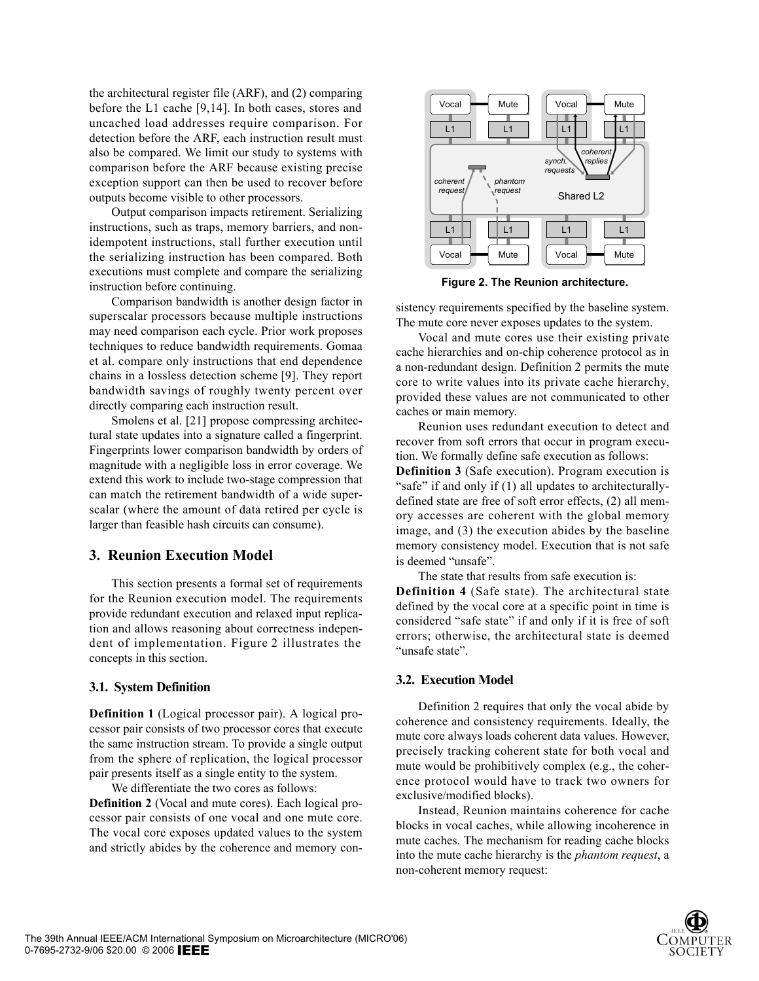the architectural register file (ARF), and (2) comparing before the L1 cache [9,14]. In both cases, stores and uncached load addresses require comparison. For detection before the ARF, each instruction result must also be compared. We limit our study to systems with comparison before the ARF because existing precise exception support can then be used to recover before outputs become visible to other processors.

Output comparison impacts retirement. Serializing instructions, such as traps, memory barriers, and nonidempotent instructions, stall further execution until the serializing instruction has been compared. Both executions must complete and compare the serializing instruction before continuing.

Comparison bandwidth is another design factor in superscalar processors because multiple instructions may need comparison each cycle. Prior work proposes techniques to reduce bandwidth requirements. Gomaa et al. compare only instructions that end dependence chains in a lossless detection scheme [9]. They report bandwidth savings of roughly twenty percent over directly comparing each instruction result.

Smolens et al. [21] propose compressing architectural state updates into a signature called a fingerprint. Fingerprints lower comparison bandwidth by orders of magnitude with a negligible loss in error coverage. We extend this work to include two-stage compression that can match the retirement bandwidth of a wide superscalar (where the amount of data retired per cycle is larger than feasible hash circuits can consume).

# **3. Reunion Execution Model**

This section presents a formal set of requirements for the Reunion execution model. The requirements provide redundant execution and relaxed input replication and allows reasoning about correctness independent of implementation. Figure 2 illustrates the concepts in this section.

### **3.1. System Definition**

**Definition 1** (Logical processor pair). A logical processor pair consists of two processor cores that execute the same instruction stream. To provide a single output from the sphere of replication, the logical processor pair presents itself as a single entity to the system.

We differentiate the two cores as follows:

**Definition 2** (Vocal and mute cores). Each logical processor pair consists of one vocal and one mute core. The vocal core exposes updated values to the system and strictly abides by the coherence and memory con-



**Figure 2. The Reunion architecture.**

sistency requirements specified by the baseline system. The mute core never exposes updates to the system.

Vocal and mute cores use their existing private cache hierarchies and on-chip coherence protocol as in a non-redundant design. Definition 2 permits the mute core to write values into its private cache hierarchy, provided these values are not communicated to other caches or main memory.

Reunion uses redundant execution to detect and recover from soft errors that occur in program execution. We formally define safe execution as follows: **Definition 3** (Safe execution). Program execution is

"safe" if and only if (1) all updates to architecturallydefined state are free of soft error effects, (2) all memory accesses are coherent with the global memory image, and (3) the execution abides by the baseline memory consistency model. Execution that is not safe is deemed "unsafe".

The state that results from safe execution is: **Definition 4** (Safe state). The architectural state defined by the vocal core at a specific point in time is considered "safe state" if and only if it is free of soft errors; otherwise, the architectural state is deemed "unsafe state".

### **3.2. Execution Model**

Definition 2 requires that only the vocal abide by coherence and consistency requirements. Ideally, the mute core always loads coherent data values. However, precisely tracking coherent state for both vocal and mute would be prohibitively complex (e.g., the coherence protocol would have to track two owners for exclusive/modified blocks).

Instead, Reunion maintains coherence for cache blocks in vocal caches, while allowing incoherence in mute caches. The mechanism for reading cache blocks into the mute cache hierarchy is the *phantom request*, a non-coherent memory request:

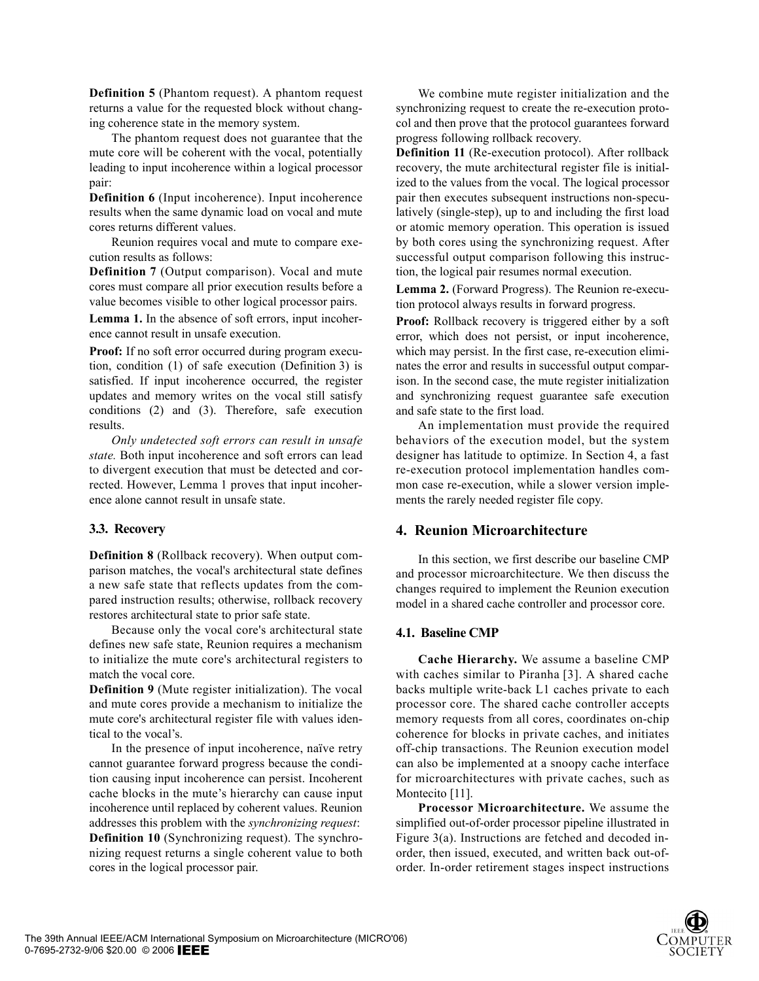**Definition 5** (Phantom request). A phantom request returns a value for the requested block without changing coherence state in the memory system.

The phantom request does not guarantee that the mute core will be coherent with the vocal, potentially leading to input incoherence within a logical processor pair:

**Definition 6** (Input incoherence). Input incoherence results when the same dynamic load on vocal and mute cores returns different values.

Reunion requires vocal and mute to compare execution results as follows:

**Definition 7** (Output comparison). Vocal and mute cores must compare all prior execution results before a value becomes visible to other logical processor pairs.

**Lemma 1.** In the absence of soft errors, input incoherence cannot result in unsafe execution.

**Proof:** If no soft error occurred during program execution, condition (1) of safe execution (Definition 3) is satisfied. If input incoherence occurred, the register updates and memory writes on the vocal still satisfy conditions (2) and (3). Therefore, safe execution results.

*Only undetected soft errors can result in unsafe state.* Both input incoherence and soft errors can lead to divergent execution that must be detected and corrected. However, Lemma 1 proves that input incoherence alone cannot result in unsafe state.

# **3.3. Recovery**

**Definition 8** (Rollback recovery). When output comparison matches, the vocal's architectural state defines a new safe state that reflects updates from the compared instruction results; otherwise, rollback recovery restores architectural state to prior safe state.

Because only the vocal core's architectural state defines new safe state, Reunion requires a mechanism to initialize the mute core's architectural registers to match the vocal core.

**Definition 9** (Mute register initialization). The vocal and mute cores provide a mechanism to initialize the mute core's architectural register file with values identical to the vocal's.

In the presence of input incoherence, naïve retry cannot guarantee forward progress because the condition causing input incoherence can persist. Incoherent cache blocks in the mute's hierarchy can cause input incoherence until replaced by coherent values. Reunion addresses this problem with the *synchronizing request*: **Definition 10** (Synchronizing request). The synchronizing request returns a single coherent value to both cores in the logical processor pair.

We combine mute register initialization and the synchronizing request to create the re-execution protocol and then prove that the protocol guarantees forward progress following rollback recovery.

**Definition 11** (Re-execution protocol). After rollback recovery, the mute architectural register file is initialized to the values from the vocal. The logical processor pair then executes subsequent instructions non-speculatively (single-step), up to and including the first load or atomic memory operation. This operation is issued by both cores using the synchronizing request. After successful output comparison following this instruction, the logical pair resumes normal execution.

**Lemma 2.** (Forward Progress). The Reunion re-execution protocol always results in forward progress.

Proof: Rollback recovery is triggered either by a soft error, which does not persist, or input incoherence, which may persist. In the first case, re-execution eliminates the error and results in successful output comparison. In the second case, the mute register initialization and synchronizing request guarantee safe execution and safe state to the first load.

An implementation must provide the required behaviors of the execution model, but the system designer has latitude to optimize. In Section 4, a fast re-execution protocol implementation handles common case re-execution, while a slower version implements the rarely needed register file copy.

# **4. Reunion Microarchitecture**

In this section, we first describe our baseline CMP and processor microarchitecture. We then discuss the changes required to implement the Reunion execution model in a shared cache controller and processor core.

# **4.1. Baseline CMP**

**Cache Hierarchy.** We assume a baseline CMP with caches similar to Piranha [3]. A shared cache backs multiple write-back L1 caches private to each processor core. The shared cache controller accepts memory requests from all cores, coordinates on-chip coherence for blocks in private caches, and initiates off-chip transactions. The Reunion execution model can also be implemented at a snoopy cache interface for microarchitectures with private caches, such as Montecito [11].

**Processor Microarchitecture.** We assume the simplified out-of-order processor pipeline illustrated in Figure 3(a). Instructions are fetched and decoded inorder, then issued, executed, and written back out-oforder. In-order retirement stages inspect instructions

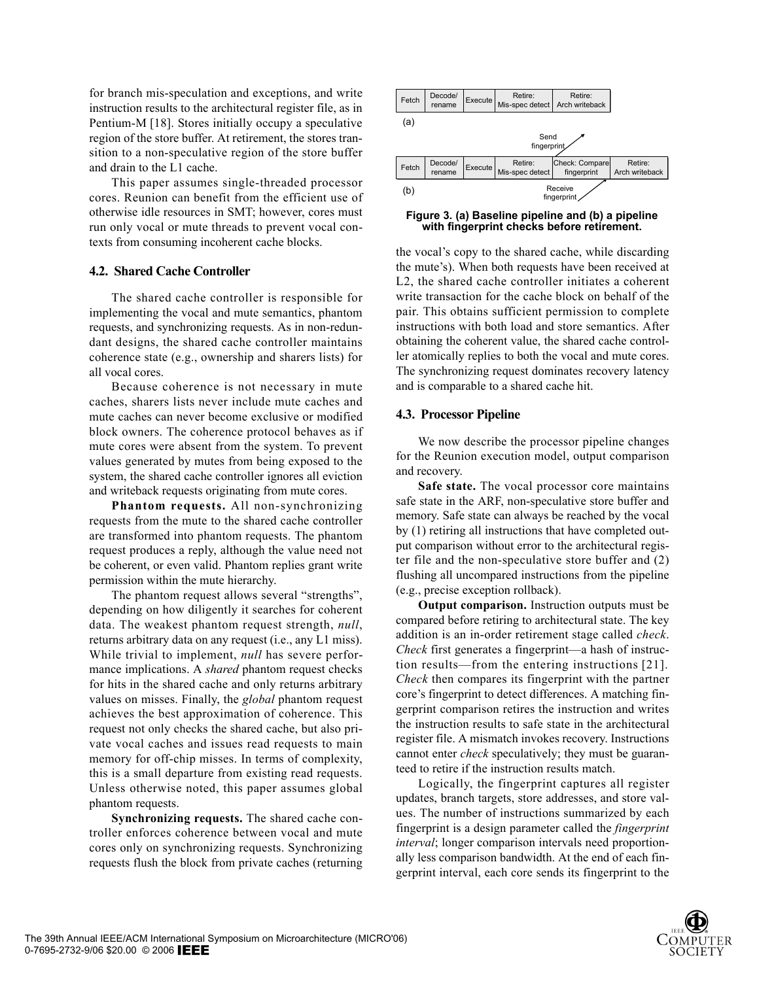for branch mis-speculation and exceptions, and write instruction results to the architectural register file, as in Pentium-M [18]. Stores initially occupy a speculative region of the store buffer. At retirement, the stores transition to a non-speculative region of the store buffer and drain to the L1 cache.

This paper assumes single-threaded processor cores. Reunion can benefit from the efficient use of otherwise idle resources in SMT; however, cores must run only vocal or mute threads to prevent vocal contexts from consuming incoherent cache blocks.

### **4.2. Shared Cache Controller**

The shared cache controller is responsible for implementing the vocal and mute semantics, phantom requests, and synchronizing requests. As in non-redundant designs, the shared cache controller maintains coherence state (e.g., ownership and sharers lists) for all vocal cores.

Because coherence is not necessary in mute caches, sharers lists never include mute caches and mute caches can never become exclusive or modified block owners. The coherence protocol behaves as if mute cores were absent from the system. To prevent values generated by mutes from being exposed to the system, the shared cache controller ignores all eviction and writeback requests originating from mute cores.

**Phantom requests.** All non-synchronizing requests from the mute to the shared cache controller are transformed into phantom requests. The phantom request produces a reply, although the value need not be coherent, or even valid. Phantom replies grant write permission within the mute hierarchy.

The phantom request allows several "strengths", depending on how diligently it searches for coherent data. The weakest phantom request strength, *null*, returns arbitrary data on any request (i.e., any L1 miss). While trivial to implement, *null* has severe performance implications. A *shared* phantom request checks for hits in the shared cache and only returns arbitrary values on misses. Finally, the *global* phantom request achieves the best approximation of coherence. This request not only checks the shared cache, but also private vocal caches and issues read requests to main memory for off-chip misses. In terms of complexity, this is a small departure from existing read requests. Unless otherwise noted, this paper assumes global phantom requests.

**Synchronizing requests.** The shared cache controller enforces coherence between vocal and mute cores only on synchronizing requests. Synchronizing requests flush the block from private caches (returning



#### **Figure 3. (a) Baseline pipeline and (b) a pipeline with fingerprint checks before retirement.**

the vocal's copy to the shared cache, while discarding the mute's). When both requests have been received at L2, the shared cache controller initiates a coherent write transaction for the cache block on behalf of the pair. This obtains sufficient permission to complete instructions with both load and store semantics. After obtaining the coherent value, the shared cache controller atomically replies to both the vocal and mute cores. The synchronizing request dominates recovery latency and is comparable to a shared cache hit.

### **4.3. Processor Pipeline**

We now describe the processor pipeline changes for the Reunion execution model, output comparison and recovery.

**Safe state.** The vocal processor core maintains safe state in the ARF, non-speculative store buffer and memory. Safe state can always be reached by the vocal by (1) retiring all instructions that have completed output comparison without error to the architectural register file and the non-speculative store buffer and (2) flushing all uncompared instructions from the pipeline (e.g., precise exception rollback).

**Output comparison.** Instruction outputs must be compared before retiring to architectural state. The key addition is an in-order retirement stage called *check*. *Check* first generates a fingerprint—a hash of instruction results—from the entering instructions [21]. *Check* then compares its fingerprint with the partner core's fingerprint to detect differences. A matching fingerprint comparison retires the instruction and writes the instruction results to safe state in the architectural register file. A mismatch invokes recovery. Instructions cannot enter *check* speculatively; they must be guaranteed to retire if the instruction results match.

Logically, the fingerprint captures all register updates, branch targets, store addresses, and store values. The number of instructions summarized by each fingerprint is a design parameter called the *fingerprint interval*; longer comparison intervals need proportionally less comparison bandwidth. At the end of each fingerprint interval, each core sends its fingerprint to the

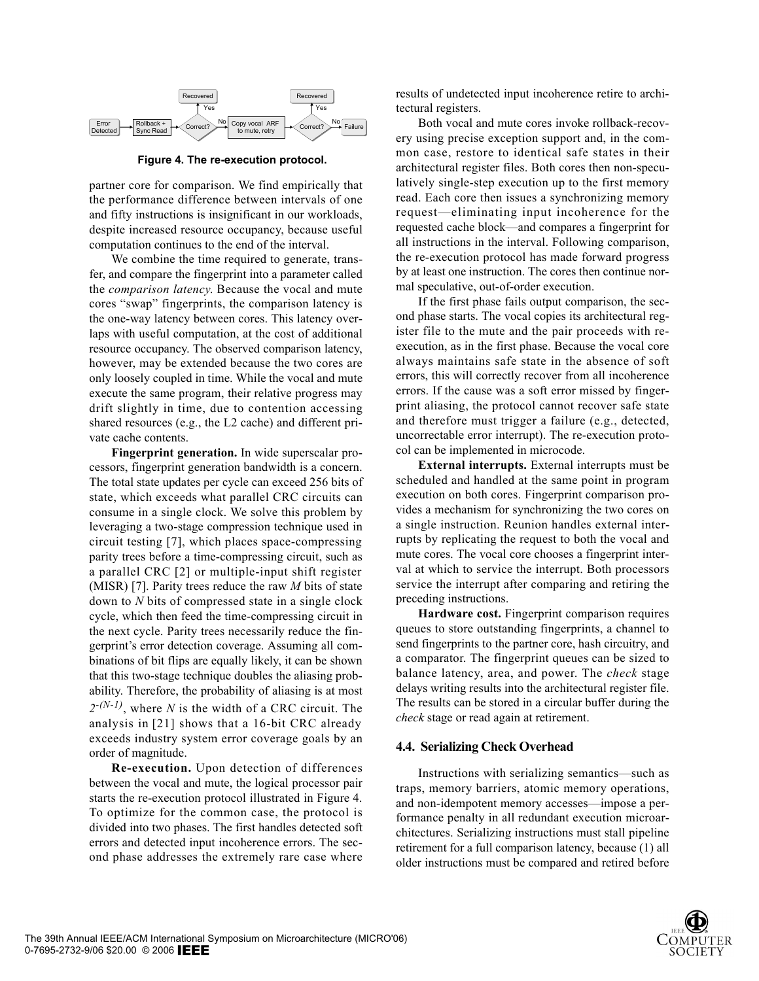

**Figure 4. The re-execution protocol.**

partner core for comparison. We find empirically that the performance difference between intervals of one and fifty instructions is insignificant in our workloads, despite increased resource occupancy, because useful computation continues to the end of the interval.

We combine the time required to generate, transfer, and compare the fingerprint into a parameter called the *comparison latency*. Because the vocal and mute cores "swap" fingerprints, the comparison latency is the one-way latency between cores. This latency overlaps with useful computation, at the cost of additional resource occupancy. The observed comparison latency, however, may be extended because the two cores are only loosely coupled in time. While the vocal and mute execute the same program, their relative progress may drift slightly in time, due to contention accessing shared resources (e.g., the L2 cache) and different private cache contents.

**Fingerprint generation.** In wide superscalar processors, fingerprint generation bandwidth is a concern. The total state updates per cycle can exceed 256 bits of state, which exceeds what parallel CRC circuits can consume in a single clock. We solve this problem by leveraging a two-stage compression technique used in circuit testing [7], which places space-compressing parity trees before a time-compressing circuit, such as a parallel CRC [2] or multiple-input shift register (MISR) [7]. Parity trees reduce the raw *M* bits of state down to *N* bits of compressed state in a single clock cycle, which then feed the time-compressing circuit in the next cycle. Parity trees necessarily reduce the fingerprint's error detection coverage. Assuming all combinations of bit flips are equally likely, it can be shown that this two-stage technique doubles the aliasing probability. Therefore, the probability of aliasing is at most  $2^{-(N-1)}$ , where *N* is the width of a CRC circuit. The analysis in [21] shows that a 16-bit CRC already exceeds industry system error coverage goals by an order of magnitude.

**Re-execution.** Upon detection of differences between the vocal and mute, the logical processor pair starts the re-execution protocol illustrated in Figure 4. To optimize for the common case, the protocol is divided into two phases. The first handles detected soft errors and detected input incoherence errors. The second phase addresses the extremely rare case where

results of undetected input incoherence retire to architectural registers.

Both vocal and mute cores invoke rollback-recovery using precise exception support and, in the common case, restore to identical safe states in their architectural register files. Both cores then non-speculatively single-step execution up to the first memory read. Each core then issues a synchronizing memory request—eliminating input incoherence for the requested cache block—and compares a fingerprint for all instructions in the interval. Following comparison, the re-execution protocol has made forward progress by at least one instruction. The cores then continue normal speculative, out-of-order execution.

If the first phase fails output comparison, the second phase starts. The vocal copies its architectural register file to the mute and the pair proceeds with reexecution, as in the first phase. Because the vocal core always maintains safe state in the absence of soft errors, this will correctly recover from all incoherence errors. If the cause was a soft error missed by fingerprint aliasing, the protocol cannot recover safe state and therefore must trigger a failure (e.g., detected, uncorrectable error interrupt). The re-execution protocol can be implemented in microcode.

**External interrupts.** External interrupts must be scheduled and handled at the same point in program execution on both cores. Fingerprint comparison provides a mechanism for synchronizing the two cores on a single instruction. Reunion handles external interrupts by replicating the request to both the vocal and mute cores. The vocal core chooses a fingerprint interval at which to service the interrupt. Both processors service the interrupt after comparing and retiring the preceding instructions.

**Hardware cost.** Fingerprint comparison requires queues to store outstanding fingerprints, a channel to send fingerprints to the partner core, hash circuitry, and a comparator. The fingerprint queues can be sized to balance latency, area, and power. The *check* stage delays writing results into the architectural register file. The results can be stored in a circular buffer during the *check* stage or read again at retirement.

# **4.4. Serializing Check Overhead**

Instructions with serializing semantics—such as traps, memory barriers, atomic memory operations, and non-idempotent memory accesses—impose a performance penalty in all redundant execution microarchitectures. Serializing instructions must stall pipeline retirement for a full comparison latency, because (1) all older instructions must be compared and retired before

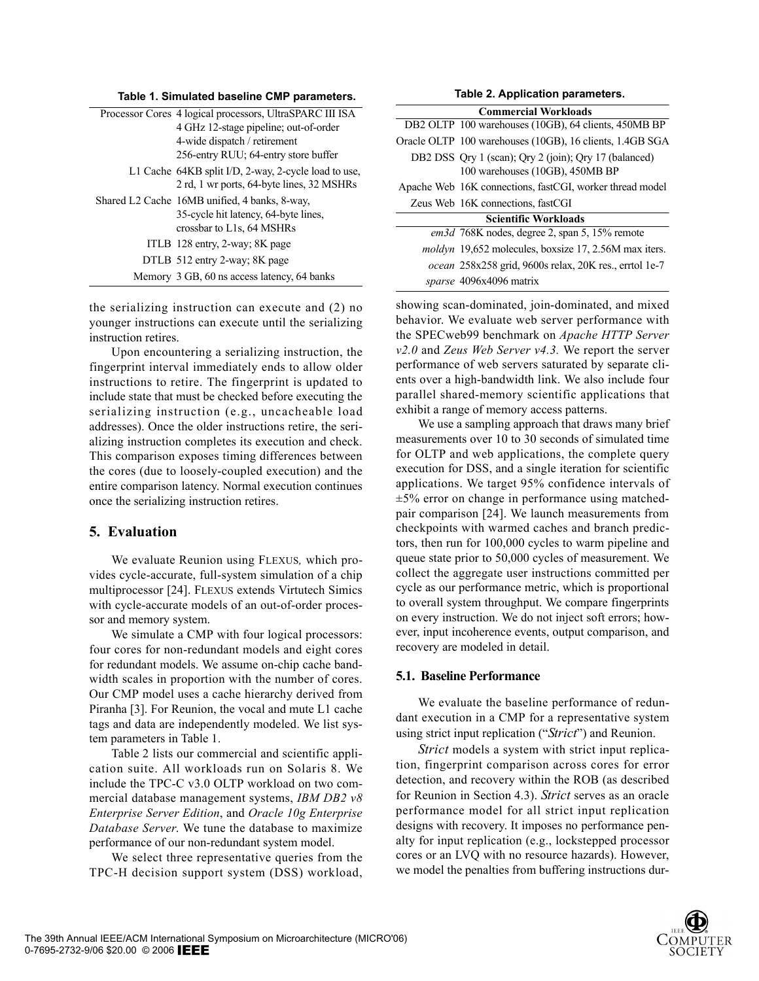|  |  |  |  | Table 1. Simulated baseline CMP parameters. |
|--|--|--|--|---------------------------------------------|
|--|--|--|--|---------------------------------------------|

| Processor Cores 4 logical processors, UltraSPARC III ISA |
|----------------------------------------------------------|
| 4 GHz 12-stage pipeline; out-of-order                    |
| 4-wide dispatch / retirement                             |
| 256-entry RUU; 64-entry store buffer                     |
| L1 Cache 64KB split I/D, 2-way, 2-cycle load to use,     |
| 2 rd, 1 wr ports, 64-byte lines, 32 MSHRs                |
| Shared L2 Cache 16MB unified, 4 banks, 8-way,            |
| 35-cycle hit latency, 64-byte lines,                     |
| crossbar to L1s, 64 MSHRs                                |
| ITLB 128 entry, 2-way; 8K page                           |
| DTLB 512 entry 2-way; 8K page                            |
| Memory 3 GB, 60 ns access latency, 64 banks              |

the serializing instruction can execute and (2) no younger instructions can execute until the serializing instruction retires.

Upon encountering a serializing instruction, the fingerprint interval immediately ends to allow older instructions to retire. The fingerprint is updated to include state that must be checked before executing the serializing instruction (e.g., uncacheable load addresses). Once the older instructions retire, the serializing instruction completes its execution and check. This comparison exposes timing differences between the cores (due to loosely-coupled execution) and the entire comparison latency. Normal execution continues once the serializing instruction retires.

# **5. Evaluation**

We evaluate Reunion using FLEXUS*,* which provides cycle-accurate, full-system simulation of a chip multiprocessor [24]. FLEXUS extends Virtutech Simics with cycle-accurate models of an out-of-order processor and memory system.

We simulate a CMP with four logical processors: four cores for non-redundant models and eight cores for redundant models. We assume on-chip cache bandwidth scales in proportion with the number of cores. Our CMP model uses a cache hierarchy derived from Piranha [3]. For Reunion, the vocal and mute L1 cache tags and data are independently modeled. We list system parameters in Table 1.

Table 2 lists our commercial and scientific application suite. All workloads run on Solaris 8. We include the TPC-C v3.0 OLTP workload on two commercial database management systems, *IBM DB2 v8 Enterprise Server Edition*, and *Oracle 10g Enterprise Database Server*. We tune the database to maximize performance of our non-redundant system model.

We select three representative queries from the TPC-H decision support system (DSS) workload,

| Table 2. Application parameters. |                                                                                          |  |  |  |  |  |
|----------------------------------|------------------------------------------------------------------------------------------|--|--|--|--|--|
| <b>Commercial Workloads</b>      |                                                                                          |  |  |  |  |  |
|                                  | DB2 OLTP 100 warehouses (10GB), 64 clients, 450MB BP                                     |  |  |  |  |  |
|                                  | Oracle OLTP 100 warehouses (10GB), 16 clients, 1.4GB SGA                                 |  |  |  |  |  |
|                                  | DB2 DSS Qry 1 (scan); Qry 2 (join); Qry 17 (balanced)<br>100 warehouses (10GB), 450MB BP |  |  |  |  |  |
|                                  | Apache Web 16K connections, fastCGI, worker thread model                                 |  |  |  |  |  |
|                                  | Zeus Web 16K connections, fastCGI                                                        |  |  |  |  |  |
| <b>Scientific Workloads</b>      |                                                                                          |  |  |  |  |  |
|                                  | <i>em3d</i> 768K nodes, degree 2, span 5, 15% remote                                     |  |  |  |  |  |
|                                  | <i>moldyn</i> 19,652 molecules, boxsize 17, 2.56M max iters.                             |  |  |  |  |  |
|                                  | ocean 258x258 grid, 9600s relax, 20K res., errtol 1e-7                                   |  |  |  |  |  |
|                                  | <i>sparse</i> 4096x4096 matrix                                                           |  |  |  |  |  |

showing scan-dominated, join-dominated, and mixed behavior. We evaluate web server performance with the SPECweb99 benchmark on *Apache HTTP Server v2.0* and *Zeus Web Server v4.3.* We report the server performance of web servers saturated by separate clients over a high-bandwidth link. We also include four parallel shared-memory scientific applications that exhibit a range of memory access patterns.

We use a sampling approach that draws many brief measurements over 10 to 30 seconds of simulated time for OLTP and web applications, the complete query execution for DSS, and a single iteration for scientific applications. We target 95% confidence intervals of  $\pm$ 5% error on change in performance using matchedpair comparison [24]. We launch measurements from checkpoints with warmed caches and branch predictors, then run for 100,000 cycles to warm pipeline and queue state prior to 50,000 cycles of measurement. We collect the aggregate user instructions committed per cycle as our performance metric, which is proportional to overall system throughput. We compare fingerprints on every instruction. We do not inject soft errors; however, input incoherence events, output comparison, and recovery are modeled in detail.

### **5.1. Baseline Performance**

We evaluate the baseline performance of redundant execution in a CMP for a representative system using strict input replication ("*Strict*") and Reunion.

*Strict* models a system with strict input replication, fingerprint comparison across cores for error detection, and recovery within the ROB (as described for Reunion in Section 4.3). *Strict* serves as an oracle performance model for all strict input replication designs with recovery. It imposes no performance penalty for input replication (e.g., lockstepped processor cores or an LVQ with no resource hazards). However, we model the penalties from buffering instructions dur-

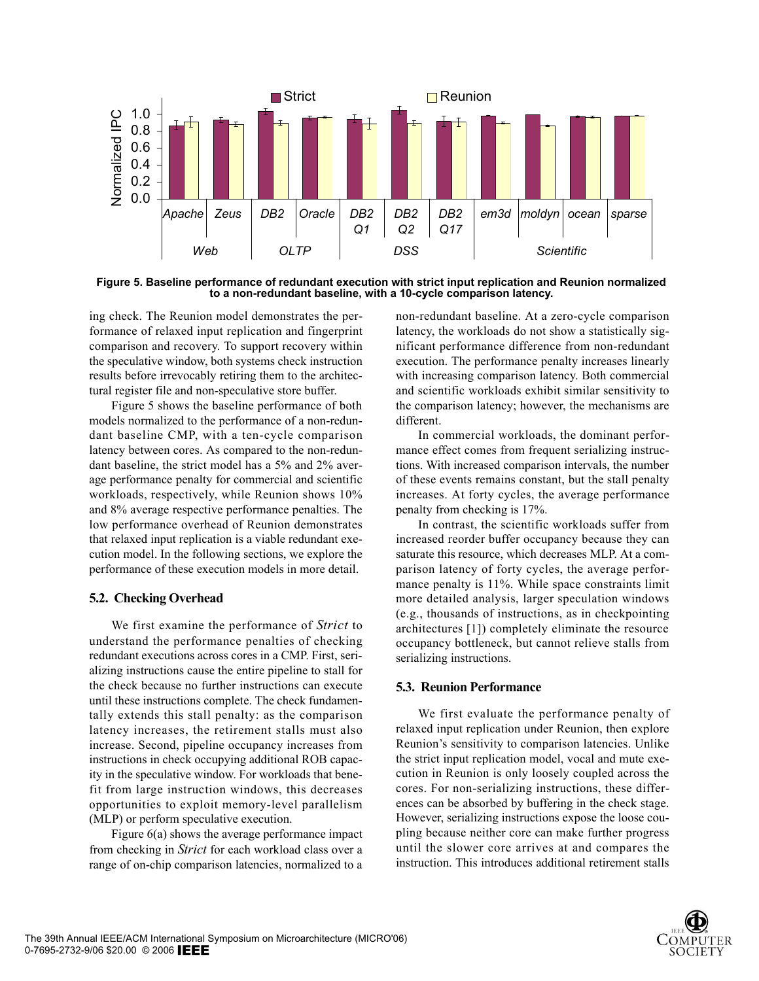

**Figure 5. Baseline performance of redundant execution with strict input replication and Reunion normalized to a non-redundant baseline, with a 10-cycle comparison latency.**

ing check. The Reunion model demonstrates the performance of relaxed input replication and fingerprint comparison and recovery. To support recovery within the speculative window, both systems check instruction results before irrevocably retiring them to the architectural register file and non-speculative store buffer.

Figure 5 shows the baseline performance of both models normalized to the performance of a non-redundant baseline CMP, with a ten-cycle comparison latency between cores. As compared to the non-redundant baseline, the strict model has a 5% and 2% average performance penalty for commercial and scientific workloads, respectively, while Reunion shows 10% and 8% average respective performance penalties. The low performance overhead of Reunion demonstrates that relaxed input replication is a viable redundant execution model. In the following sections, we explore the performance of these execution models in more detail.

### **5.2. Checking Overhead**

We first examine the performance of *Strict* to understand the performance penalties of checking redundant executions across cores in a CMP. First, serializing instructions cause the entire pipeline to stall for the check because no further instructions can execute until these instructions complete. The check fundamentally extends this stall penalty: as the comparison latency increases, the retirement stalls must also increase. Second, pipeline occupancy increases from instructions in check occupying additional ROB capacity in the speculative window. For workloads that benefit from large instruction windows, this decreases opportunities to exploit memory-level parallelism (MLP) or perform speculative execution.

Figure 6(a) shows the average performance impact from checking in *Strict* for each workload class over a range of on-chip comparison latencies, normalized to a

non-redundant baseline. At a zero-cycle comparison latency, the workloads do not show a statistically significant performance difference from non-redundant execution. The performance penalty increases linearly with increasing comparison latency. Both commercial and scientific workloads exhibit similar sensitivity to the comparison latency; however, the mechanisms are different.

In commercial workloads, the dominant performance effect comes from frequent serializing instructions. With increased comparison intervals, the number of these events remains constant, but the stall penalty increases. At forty cycles, the average performance penalty from checking is 17%.

In contrast, the scientific workloads suffer from increased reorder buffer occupancy because they can saturate this resource, which decreases MLP. At a comparison latency of forty cycles, the average performance penalty is 11%. While space constraints limit more detailed analysis, larger speculation windows (e.g., thousands of instructions, as in checkpointing architectures [1]) completely eliminate the resource occupancy bottleneck, but cannot relieve stalls from serializing instructions.

### **5.3. Reunion Performance**

We first evaluate the performance penalty of relaxed input replication under Reunion, then explore Reunion's sensitivity to comparison latencies. Unlike the strict input replication model, vocal and mute execution in Reunion is only loosely coupled across the cores. For non-serializing instructions, these differences can be absorbed by buffering in the check stage. However, serializing instructions expose the loose coupling because neither core can make further progress until the slower core arrives at and compares the instruction. This introduces additional retirement stalls

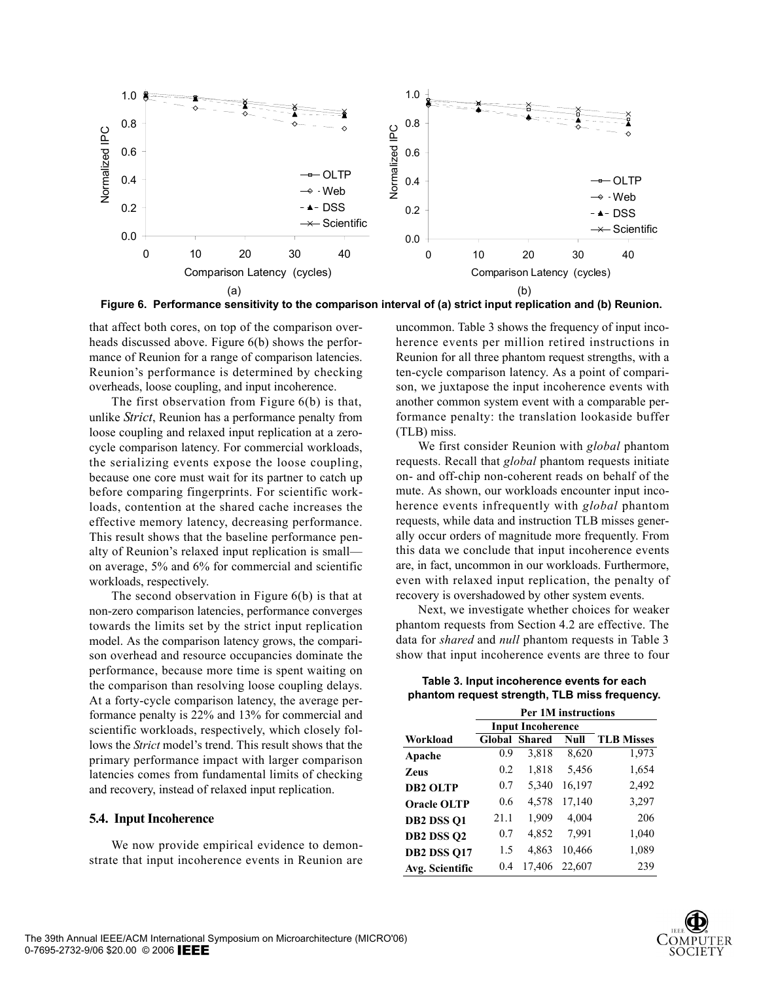

**Figure 6. Performance sensitivity to the comparison interval of (a) strict input replication and (b) Reunion.**

that affect both cores, on top of the comparison overheads discussed above. Figure 6(b) shows the performance of Reunion for a range of comparison latencies. Reunion's performance is determined by checking overheads, loose coupling, and input incoherence.

The first observation from Figure 6(b) is that, unlike *Strict*, Reunion has a performance penalty from loose coupling and relaxed input replication at a zerocycle comparison latency. For commercial workloads, the serializing events expose the loose coupling, because one core must wait for its partner to catch up before comparing fingerprints. For scientific workloads, contention at the shared cache increases the effective memory latency, decreasing performance. This result shows that the baseline performance penalty of Reunion's relaxed input replication is small on average, 5% and 6% for commercial and scientific workloads, respectively.

The second observation in Figure 6(b) is that at non-zero comparison latencies, performance converges towards the limits set by the strict input replication model. As the comparison latency grows, the comparison overhead and resource occupancies dominate the performance, because more time is spent waiting on the comparison than resolving loose coupling delays. At a forty-cycle comparison latency, the average performance penalty is 22% and 13% for commercial and scientific workloads, respectively, which closely follows the *Strict* model's trend. This result shows that the primary performance impact with larger comparison latencies comes from fundamental limits of checking and recovery, instead of relaxed input replication.

### **5.4. Input Incoherence**

We now provide empirical evidence to demonstrate that input incoherence events in Reunion are uncommon. Table 3 shows the frequency of input incoherence events per million retired instructions in Reunion for all three phantom request strengths, with a ten-cycle comparison latency. As a point of comparison, we juxtapose the input incoherence events with another common system event with a comparable performance penalty: the translation lookaside buffer (TLB) miss.

We first consider Reunion with *global* phantom requests. Recall that *global* phantom requests initiate on- and off-chip non-coherent reads on behalf of the mute. As shown, our workloads encounter input incoherence events infrequently with *global* phantom requests, while data and instruction TLB misses generally occur orders of magnitude more frequently. From this data we conclude that input incoherence events are, in fact, uncommon in our workloads. Furthermore, even with relaxed input replication, the penalty of recovery is overshadowed by other system events.

Next, we investigate whether choices for weaker phantom requests from Section 4.2 are effective. The data for *shared* and *null* phantom requests in Table 3 show that input incoherence events are three to four

|                        | <b>Per 1M</b> instructions |                          |        |                   |  |
|------------------------|----------------------------|--------------------------|--------|-------------------|--|
|                        |                            | <b>Input Incoherence</b> |        |                   |  |
| Workload               |                            | <b>Global Shared</b>     | Null   | <b>TLB Misses</b> |  |
| Apache                 | 0.9                        | 3,818                    | 8,620  | 1,973             |  |
| Zeus                   | 0.2                        | 1,818                    | 5,456  | 1,654             |  |
| <b>DB2 OLTP</b>        | 0.7                        | 5,340                    | 16,197 | 2,492             |  |
| <b>Oracle OLTP</b>     | 0.6                        | 4,578                    | 17,140 | 3,297             |  |
| DB <sub>2</sub> DSS O1 | 21.1                       | 1,909                    | 4,004  | 206               |  |
| DB2 DSS Q2             | 0.7                        | 4,852                    | 7.991  | 1,040             |  |
| <b>DB2 DSS Q17</b>     | 1.5                        | 4,863                    | 10,466 | 1,089             |  |
| Avg. Scientific        | 0.4                        | 17,406                   | 22,607 | 239               |  |

### **Table 3. Input incoherence events for each phantom request strength, TLB miss frequency.**

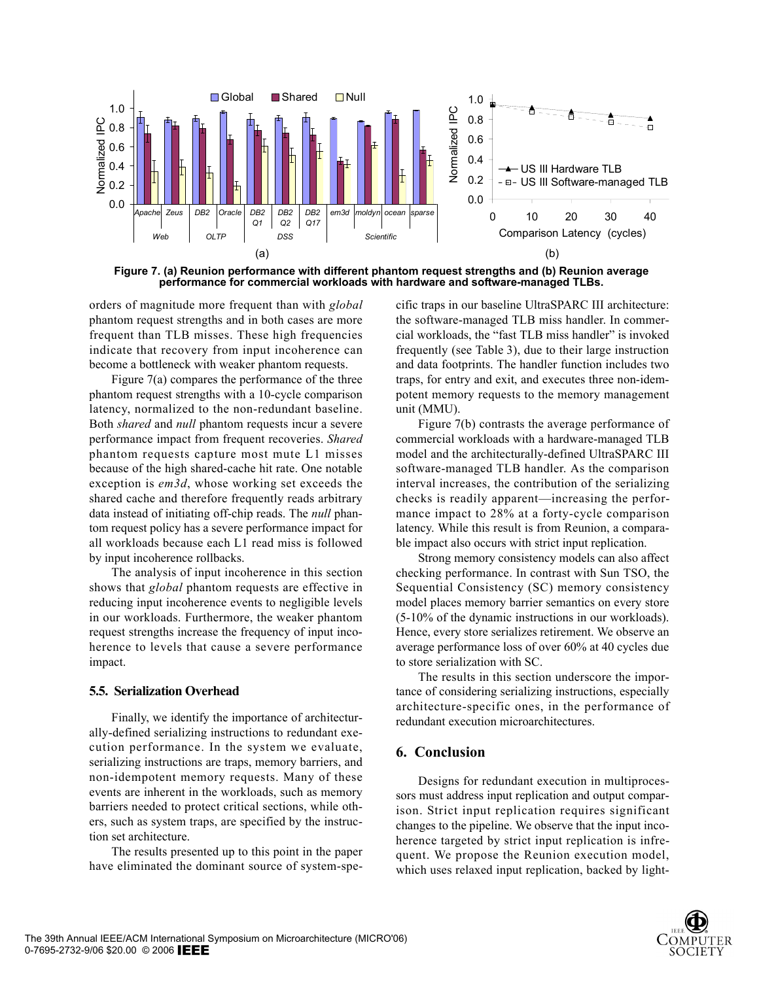

**Figure 7. (a) Reunion performance with different phantom request strengths and (b) Reunion average performance for commercial workloads with hardware and software-managed TLBs.**

orders of magnitude more frequent than with *global* phantom request strengths and in both cases are more frequent than TLB misses. These high frequencies indicate that recovery from input incoherence can become a bottleneck with weaker phantom requests.

Figure 7(a) compares the performance of the three phantom request strengths with a 10-cycle comparison latency, normalized to the non-redundant baseline. Both *shared* and *null* phantom requests incur a severe performance impact from frequent recoveries. *Shared* phantom requests capture most mute L1 misses because of the high shared-cache hit rate. One notable exception is *em3d*, whose working set exceeds the shared cache and therefore frequently reads arbitrary data instead of initiating off-chip reads. The *null* phantom request policy has a severe performance impact for all workloads because each L1 read miss is followed by input incoherence rollbacks.

The analysis of input incoherence in this section shows that *global* phantom requests are effective in reducing input incoherence events to negligible levels in our workloads. Furthermore, the weaker phantom request strengths increase the frequency of input incoherence to levels that cause a severe performance impact.

### **5.5. Serialization Overhead**

Finally, we identify the importance of architecturally-defined serializing instructions to redundant execution performance. In the system we evaluate, serializing instructions are traps, memory barriers, and non-idempotent memory requests. Many of these events are inherent in the workloads, such as memory barriers needed to protect critical sections, while others, such as system traps, are specified by the instruction set architecture.

The results presented up to this point in the paper have eliminated the dominant source of system-specific traps in our baseline UltraSPARC III architecture: the software-managed TLB miss handler. In commercial workloads, the "fast TLB miss handler" is invoked frequently (see Table 3), due to their large instruction and data footprints. The handler function includes two traps, for entry and exit, and executes three non-idempotent memory requests to the memory management unit (MMU).

Figure 7(b) contrasts the average performance of commercial workloads with a hardware-managed TLB model and the architecturally-defined UltraSPARC III software-managed TLB handler. As the comparison interval increases, the contribution of the serializing checks is readily apparent—increasing the performance impact to 28% at a forty-cycle comparison latency. While this result is from Reunion, a comparable impact also occurs with strict input replication.

Strong memory consistency models can also affect checking performance. In contrast with Sun TSO, the Sequential Consistency (SC) memory consistency model places memory barrier semantics on every store (5-10% of the dynamic instructions in our workloads). Hence, every store serializes retirement. We observe an average performance loss of over 60% at 40 cycles due to store serialization with SC.

The results in this section underscore the importance of considering serializing instructions, especially architecture-specific ones, in the performance of redundant execution microarchitectures.

# **6. Conclusion**

Designs for redundant execution in multiprocessors must address input replication and output comparison. Strict input replication requires significant changes to the pipeline. We observe that the input incoherence targeted by strict input replication is infrequent. We propose the Reunion execution model, which uses relaxed input replication, backed by light-